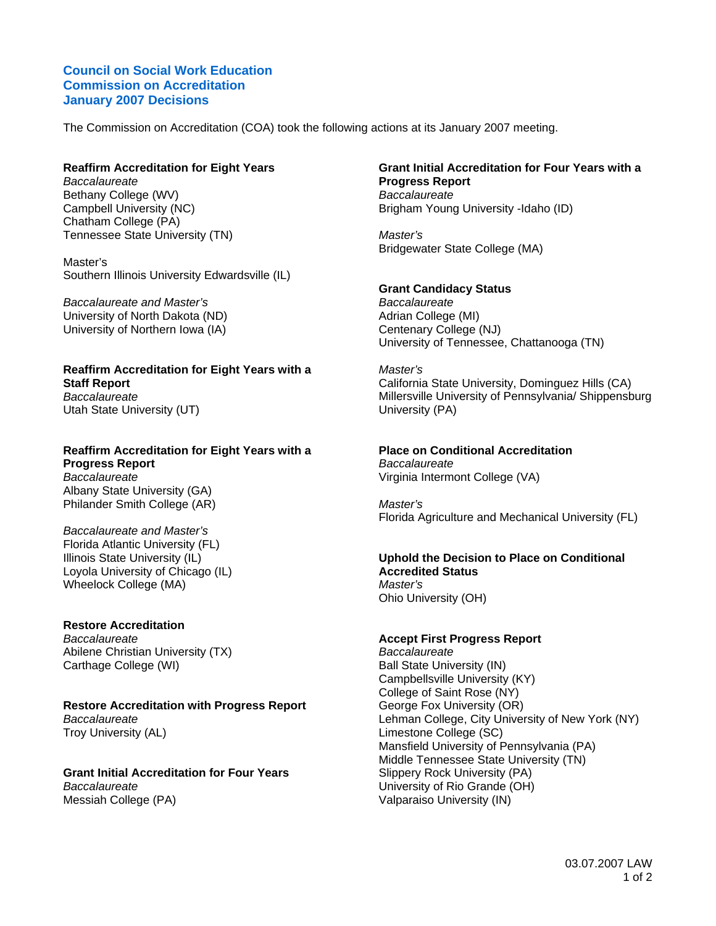### **Council on Social Work Education Commission on Accreditation January 2007 Decisions**

The Commission on Accreditation (COA) took the following actions at its January 2007 meeting.

### **Reaffirm Accreditation for Eight Years**

*Baccalaureate*  Bethany College (WV) Campbell University (NC) Chatham College (PA) Tennessee State University (TN)

Master's Southern Illinois University Edwardsville (IL)

*Baccalaureate and Master's*  University of North Dakota (ND) University of Northern Iowa (IA)

#### **Reaffirm Accreditation for Eight Years with a Staff Report**  *Baccalaureate*  Utah State University (UT)

### **Reaffirm Accreditation for Eight Years with a Progress Report**  *Baccalaureate*  Albany State University (GA) Philander Smith College (AR)

*Baccalaureate and Master's*  Florida Atlantic University (FL) Illinois State University (IL) Loyola University of Chicago (IL) Wheelock College (MA)

### **Restore Accreditation**

*Baccalaureate*  Abilene Christian University (TX) Carthage College (WI)

# **Restore Accreditation with Progress Report**

*Baccalaureate*  Troy University (AL)

**Grant Initial Accreditation for Four Years**  *Baccalaureate*  Messiah College (PA)

#### **Grant Initial Accreditation for Four Years with a Progress Report**  *Baccalaureate*  Brigham Young University -Idaho (ID)

*Master's*  Bridgewater State College (MA)

# **Grant Candidacy Status**

*Baccalaureate*  Adrian College (MI) Centenary College (NJ) University of Tennessee, Chattanooga (TN)

# *Master's*

California State University, Dominguez Hills (CA) Millersville University of Pennsylvania/ Shippensburg University (PA)

### **Place on Conditional Accreditation**

*Baccalaureate*  Virginia Intermont College (VA)

*Master's*  Florida Agriculture and Mechanical University (FL)

### **Uphold the Decision to Place on Conditional Accredited Status**  *Master's*

Ohio University (OH)

# **Accept First Progress Report**

*Baccalaureate*  Ball State University (IN) Campbellsville University (KY) College of Saint Rose (NY) George Fox University (OR) Lehman College, City University of New York (NY) Limestone College (SC) Mansfield University of Pennsylvania (PA) Middle Tennessee State University (TN) Slippery Rock University (PA) University of Rio Grande (OH) Valparaiso University (IN)